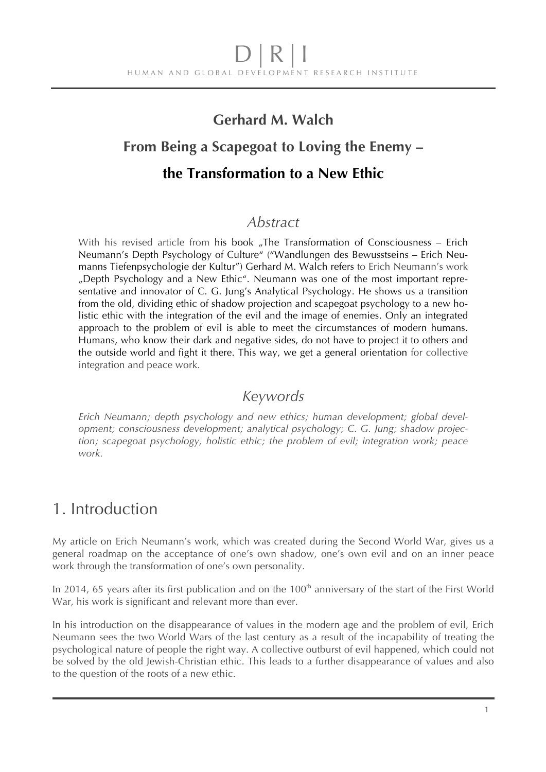### **Gerhard M. Walch**

## **From Being a Scapegoat to Loving the Enemy –**

### **the Transformation to a New Ethic**

#### *Abstract*

With his revised article from his book "The Transformation of Consciousness – Erich Neumann's Depth Psychology of Culture" ("Wandlungen des Bewusstseins – Erich Neumanns Tiefenpsychologie der Kultur") Gerhard M. Walch refers to Erich Neumann's work "Depth Psychology and a New Ethic". Neumann was one of the most important representative and innovator of C. G. Jung's Analytical Psychology. He shows us a transition from the old, dividing ethic of shadow projection and scapegoat psychology to a new holistic ethic with the integration of the evil and the image of enemies. Only an integrated approach to the problem of evil is able to meet the circumstances of modern humans. Humans, who know their dark and negative sides, do not have to project it to others and the outside world and fight it there. This way, we get a general orientation for collective integration and peace work.

### *Keywords*

*Erich Neumann; depth psychology and new ethics; human development; global development; consciousness development; analytical psychology; C. G. Jung; shadow projection; scapegoat psychology, holistic ethic; the problem of evil; integration work; peace work.* 

## 1. Introduction

My article on Erich Neumann's work, which was created during the Second World War, gives us a general roadmap on the acceptance of one's own shadow, one's own evil and on an inner peace work through the transformation of one's own personality.

In 2014, 65 years after its first publication and on the 100<sup>th</sup> anniversary of the start of the First World War, his work is significant and relevant more than ever.

In his introduction on the disappearance of values in the modern age and the problem of evil, Erich Neumann sees the two World Wars of the last century as a result of the incapability of treating the psychological nature of people the right way. A collective outburst of evil happened, which could not be solved by the old Jewish-Christian ethic. This leads to a further disappearance of values and also to the question of the roots of a new ethic.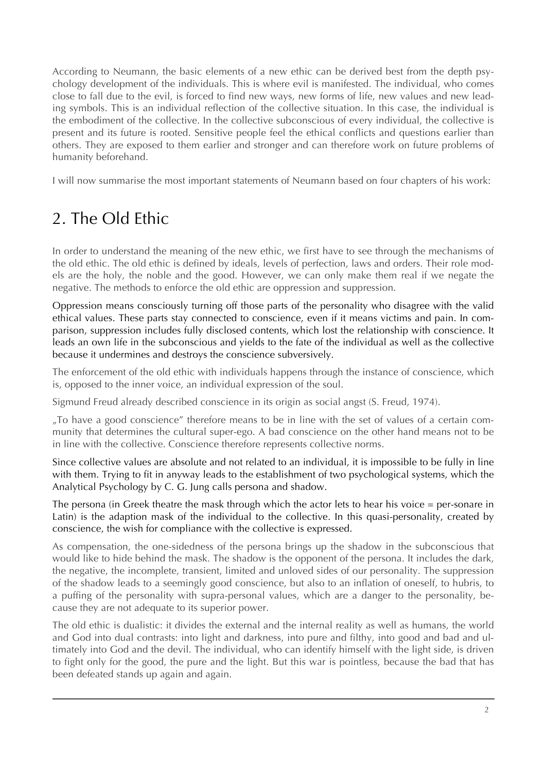According to Neumann, the basic elements of a new ethic can be derived best from the depth psychology development of the individuals. This is where evil is manifested. The individual, who comes close to fall due to the evil, is forced to find new ways, new forms of life, new values and new leading symbols. This is an individual reflection of the collective situation. In this case, the individual is the embodiment of the collective. In the collective subconscious of every individual, the collective is present and its future is rooted. Sensitive people feel the ethical conflicts and questions earlier than others. They are exposed to them earlier and stronger and can therefore work on future problems of humanity beforehand.

I will now summarise the most important statements of Neumann based on four chapters of his work:

# 2. The Old Ethic

In order to understand the meaning of the new ethic, we first have to see through the mechanisms of the old ethic. The old ethic is defined by ideals, levels of perfection, laws and orders. Their role models are the holy, the noble and the good. However, we can only make them real if we negate the negative. The methods to enforce the old ethic are oppression and suppression.

Oppression means consciously turning off those parts of the personality who disagree with the valid ethical values. These parts stay connected to conscience, even if it means victims and pain. In comparison, suppression includes fully disclosed contents, which lost the relationship with conscience. It leads an own life in the subconscious and yields to the fate of the individual as well as the collective because it undermines and destroys the conscience subversively.

The enforcement of the old ethic with individuals happens through the instance of conscience, which is, opposed to the inner voice, an individual expression of the soul.

Sigmund Freud already described conscience in its origin as social angst (S. Freud, 1974).

"To have a good conscience" therefore means to be in line with the set of values of a certain community that determines the cultural super-ego. A bad conscience on the other hand means not to be in line with the collective. Conscience therefore represents collective norms.

Since collective values are absolute and not related to an individual, it is impossible to be fully in line with them. Trying to fit in anyway leads to the establishment of two psychological systems, which the Analytical Psychology by C. G. Jung calls persona and shadow.

The persona (in Greek theatre the mask through which the actor lets to hear his voice = per-sonare in Latin) is the adaption mask of the individual to the collective. In this quasi-personality, created by conscience, the wish for compliance with the collective is expressed.

As compensation, the one-sidedness of the persona brings up the shadow in the subconscious that would like to hide behind the mask. The shadow is the opponent of the persona. It includes the dark, the negative, the incomplete, transient, limited and unloved sides of our personality. The suppression of the shadow leads to a seemingly good conscience, but also to an inflation of oneself, to hubris, to a puffing of the personality with supra-personal values, which are a danger to the personality, because they are not adequate to its superior power.

The old ethic is dualistic: it divides the external and the internal reality as well as humans, the world and God into dual contrasts: into light and darkness, into pure and filthy, into good and bad and ultimately into God and the devil. The individual, who can identify himself with the light side, is driven to fight only for the good, the pure and the light. But this war is pointless, because the bad that has been defeated stands up again and again.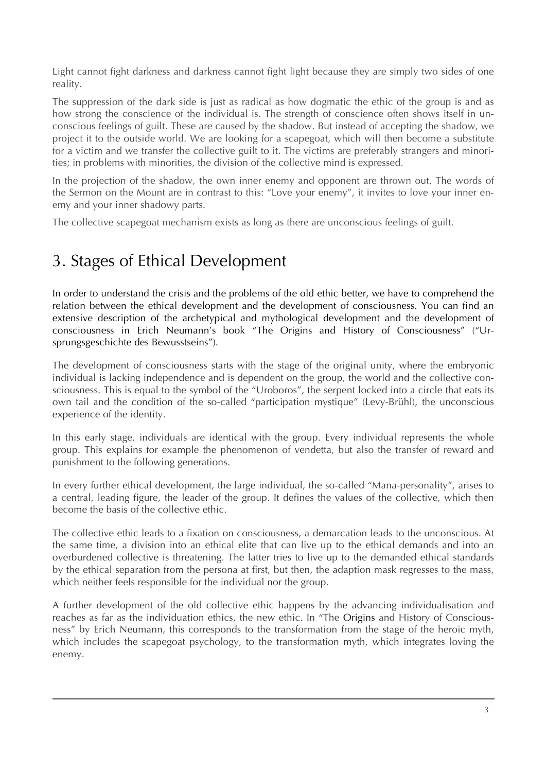Light cannot fight darkness and darkness cannot fight light because they are simply two sides of one reality.

The suppression of the dark side is just as radical as how dogmatic the ethic of the group is and as how strong the conscience of the individual is. The strength of conscience often shows itself in unconscious feelings of guilt. These are caused by the shadow. But instead of accepting the shadow, we project it to the outside world. We are looking for a scapegoat, which will then become a substitute for a victim and we transfer the collective guilt to it. The victims are preferably strangers and minorities; in problems with minorities, the division of the collective mind is expressed.

In the projection of the shadow, the own inner enemy and opponent are thrown out. The words of the Sermon on the Mount are in contrast to this: "Love your enemy", it invites to love your inner enemy and your inner shadowy parts.

The collective scapegoat mechanism exists as long as there are unconscious feelings of guilt.

# 3. Stages of Ethical Development

In order to understand the crisis and the problems of the old ethic better, we have to comprehend the relation between the ethical development and the development of consciousness. You can find an extensive description of the archetypical and mythological development and the development of consciousness in Erich Neumann's book "The Origins and History of Consciousness" ("Ursprungsgeschichte des Bewusstseins").

The development of consciousness starts with the stage of the original unity, where the embryonic individual is lacking independence and is dependent on the group, the world and the collective consciousness. This is equal to the symbol of the "Uroboros", the serpent locked into a circle that eats its own tail and the condition of the so-called "participation mystique" (Levy-Brühl), the unconscious experience of the identity.

In this early stage, individuals are identical with the group. Every individual represents the whole group. This explains for example the phenomenon of vendetta, but also the transfer of reward and punishment to the following generations.

In every further ethical development, the large individual, the so-called "Mana-personality", arises to a central, leading figure, the leader of the group. It defines the values of the collective, which then become the basis of the collective ethic.

The collective ethic leads to a fixation on consciousness, a demarcation leads to the unconscious. At the same time, a division into an ethical elite that can live up to the ethical demands and into an overburdened collective is threatening. The latter tries to live up to the demanded ethical standards by the ethical separation from the persona at first, but then, the adaption mask regresses to the mass, which neither feels responsible for the individual nor the group.

A further development of the old collective ethic happens by the advancing individualisation and reaches as far as the individuation ethics, the new ethic. In "The Origins and History of Consciousness" by Erich Neumann, this corresponds to the transformation from the stage of the heroic myth, which includes the scapegoat psychology, to the transformation myth, which integrates loving the enemy.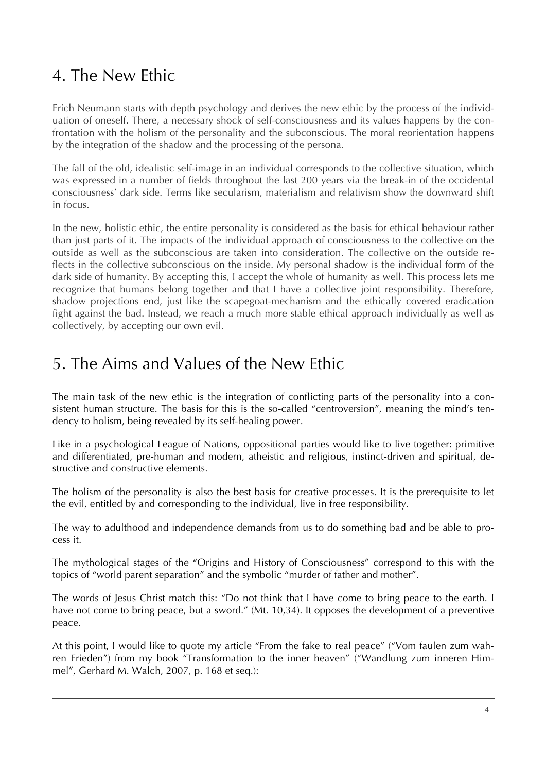# 4. The New Ethic

Erich Neumann starts with depth psychology and derives the new ethic by the process of the individuation of oneself. There, a necessary shock of self-consciousness and its values happens by the confrontation with the holism of the personality and the subconscious. The moral reorientation happens by the integration of the shadow and the processing of the persona.

The fall of the old, idealistic self-image in an individual corresponds to the collective situation, which was expressed in a number of fields throughout the last 200 years via the break-in of the occidental consciousness' dark side. Terms like secularism, materialism and relativism show the downward shift in focus.

In the new, holistic ethic, the entire personality is considered as the basis for ethical behaviour rather than just parts of it. The impacts of the individual approach of consciousness to the collective on the outside as well as the subconscious are taken into consideration. The collective on the outside reflects in the collective subconscious on the inside. My personal shadow is the individual form of the dark side of humanity. By accepting this, I accept the whole of humanity as well. This process lets me recognize that humans belong together and that I have a collective joint responsibility. Therefore, shadow projections end, just like the scapegoat-mechanism and the ethically covered eradication fight against the bad. Instead, we reach a much more stable ethical approach individually as well as collectively, by accepting our own evil.

## 5. The Aims and Values of the New Ethic

The main task of the new ethic is the integration of conflicting parts of the personality into a consistent human structure. The basis for this is the so-called "centroversion", meaning the mind's tendency to holism, being revealed by its self-healing power.

Like in a psychological League of Nations, oppositional parties would like to live together: primitive and differentiated, pre-human and modern, atheistic and religious, instinct-driven and spiritual, destructive and constructive elements.

The holism of the personality is also the best basis for creative processes. It is the prerequisite to let the evil, entitled by and corresponding to the individual, live in free responsibility.

The way to adulthood and independence demands from us to do something bad and be able to process it.

The mythological stages of the "Origins and History of Consciousness" correspond to this with the topics of "world parent separation" and the symbolic "murder of father and mother".

The words of Jesus Christ match this: "Do not think that I have come to bring peace to the earth. I have not come to bring peace, but a sword." (Mt. 10,34). It opposes the development of a preventive peace.

At this point, I would like to quote my article "From the fake to real peace" ("Vom faulen zum wahren Frieden") from my book "Transformation to the inner heaven" ("Wandlung zum inneren Himmel", Gerhard M. Walch, 2007, p. 168 et seq.):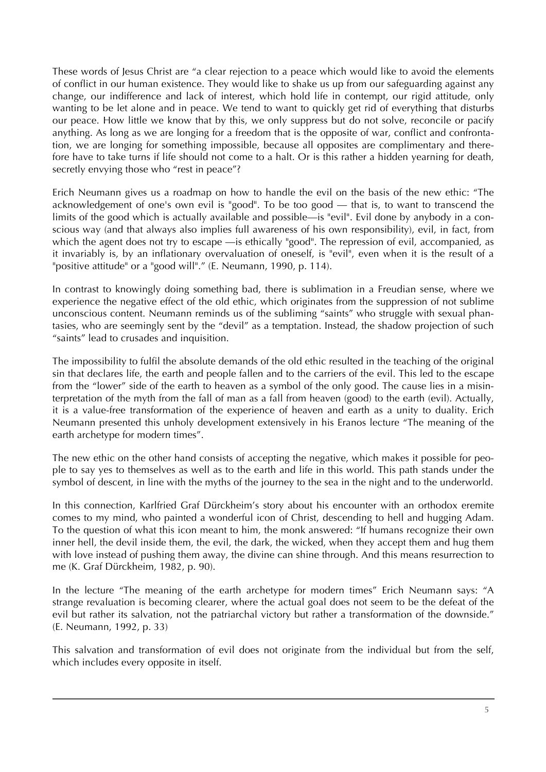These words of Jesus Christ are "a clear rejection to a peace which would like to avoid the elements of conflict in our human existence. They would like to shake us up from our safeguarding against any change, our indifference and lack of interest, which hold life in contempt, our rigid attitude, only wanting to be let alone and in peace. We tend to want to quickly get rid of everything that disturbs our peace. How little we know that by this, we only suppress but do not solve, reconcile or pacify anything. As long as we are longing for a freedom that is the opposite of war, conflict and confrontation, we are longing for something impossible, because all opposites are complimentary and therefore have to take turns if life should not come to a halt. Or is this rather a hidden yearning for death, secretly envying those who "rest in peace"?

Erich Neumann gives us a roadmap on how to handle the evil on the basis of the new ethic: "The acknowledgement of one's own evil is "good". To be too good — that is, to want to transcend the limits of the good which is actually available and possible—is "evil". Evil done by anybody in a conscious way (and that always also implies full awareness of his own responsibility), evil, in fact, from which the agent does not try to escape —is ethically "good". The repression of evil, accompanied, as it invariably is, by an inflationary overvaluation of oneself, is "evil", even when it is the result of a "positive attitude" or a "good will"." (E. Neumann, 1990, p. 114).

In contrast to knowingly doing something bad, there is sublimation in a Freudian sense, where we experience the negative effect of the old ethic, which originates from the suppression of not sublime unconscious content. Neumann reminds us of the subliming "saints" who struggle with sexual phantasies, who are seemingly sent by the "devil" as a temptation. Instead, the shadow projection of such "saints" lead to crusades and inquisition.

The impossibility to fulfil the absolute demands of the old ethic resulted in the teaching of the original sin that declares life, the earth and people fallen and to the carriers of the evil. This led to the escape from the "lower" side of the earth to heaven as a symbol of the only good. The cause lies in a misinterpretation of the myth from the fall of man as a fall from heaven (good) to the earth (evil). Actually, it is a value-free transformation of the experience of heaven and earth as a unity to duality. Erich Neumann presented this unholy development extensively in his Eranos lecture "The meaning of the earth archetype for modern times".

The new ethic on the other hand consists of accepting the negative, which makes it possible for people to say yes to themselves as well as to the earth and life in this world. This path stands under the symbol of descent, in line with the myths of the journey to the sea in the night and to the underworld.

In this connection, Karlfried Graf Dürckheim's story about his encounter with an orthodox eremite comes to my mind, who painted a wonderful icon of Christ, descending to hell and hugging Adam. To the question of what this icon meant to him, the monk answered: "If humans recognize their own inner hell, the devil inside them, the evil, the dark, the wicked, when they accept them and hug them with love instead of pushing them away, the divine can shine through. And this means resurrection to me (K. Graf Dürckheim, 1982, p. 90).

In the lecture "The meaning of the earth archetype for modern times" Erich Neumann says: "A strange revaluation is becoming clearer, where the actual goal does not seem to be the defeat of the evil but rather its salvation, not the patriarchal victory but rather a transformation of the downside." (E. Neumann, 1992, p. 33)

This salvation and transformation of evil does not originate from the individual but from the self, which includes every opposite in itself.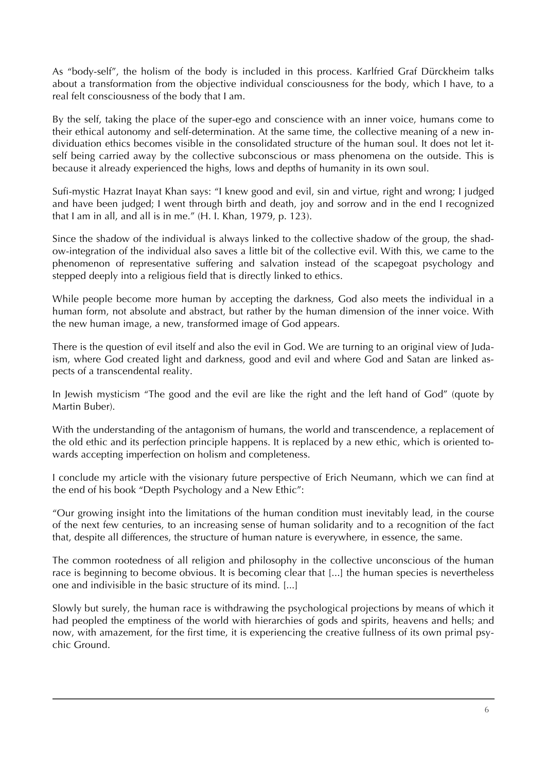As "body-self", the holism of the body is included in this process. Karlfried Graf Dürckheim talks about a transformation from the objective individual consciousness for the body, which I have, to a real felt consciousness of the body that I am.

By the self, taking the place of the super-ego and conscience with an inner voice, humans come to their ethical autonomy and self-determination. At the same time, the collective meaning of a new individuation ethics becomes visible in the consolidated structure of the human soul. It does not let itself being carried away by the collective subconscious or mass phenomena on the outside. This is because it already experienced the highs, lows and depths of humanity in its own soul.

Sufi-mystic Hazrat Inayat Khan says: "I knew good and evil, sin and virtue, right and wrong; I judged and have been judged; I went through birth and death, joy and sorrow and in the end I recognized that I am in all, and all is in me." (H. I. Khan, 1979, p. 123).

Since the shadow of the individual is always linked to the collective shadow of the group, the shadow-integration of the individual also saves a little bit of the collective evil. With this, we came to the phenomenon of representative suffering and salvation instead of the scapegoat psychology and stepped deeply into a religious field that is directly linked to ethics.

While people become more human by accepting the darkness, God also meets the individual in a human form, not absolute and abstract, but rather by the human dimension of the inner voice. With the new human image, a new, transformed image of God appears.

There is the question of evil itself and also the evil in God. We are turning to an original view of Judaism, where God created light and darkness, good and evil and where God and Satan are linked aspects of a transcendental reality.

In Jewish mysticism "The good and the evil are like the right and the left hand of God" (quote by Martin Buber).

With the understanding of the antagonism of humans, the world and transcendence, a replacement of the old ethic and its perfection principle happens. It is replaced by a new ethic, which is oriented towards accepting imperfection on holism and completeness.

I conclude my article with the visionary future perspective of Erich Neumann, which we can find at the end of his book "Depth Psychology and a New Ethic":

"Our growing insight into the limitations of the human condition must inevitably lead, in the course of the next few centuries, to an increasing sense of human solidarity and to a recognition of the fact that, despite all differences, the structure of human nature is everywhere, in essence, the same.

The common rootedness of all religion and philosophy in the collective unconscious of the human race is beginning to become obvious. It is becoming clear that [...] the human species is nevertheless one and indivisible in the basic structure of its mind. [...]

Slowly but surely, the human race is withdrawing the psychological projections by means of which it had peopled the emptiness of the world with hierarchies of gods and spirits, heavens and hells; and now, with amazement, for the first time, it is experiencing the creative fullness of its own primal psychic Ground.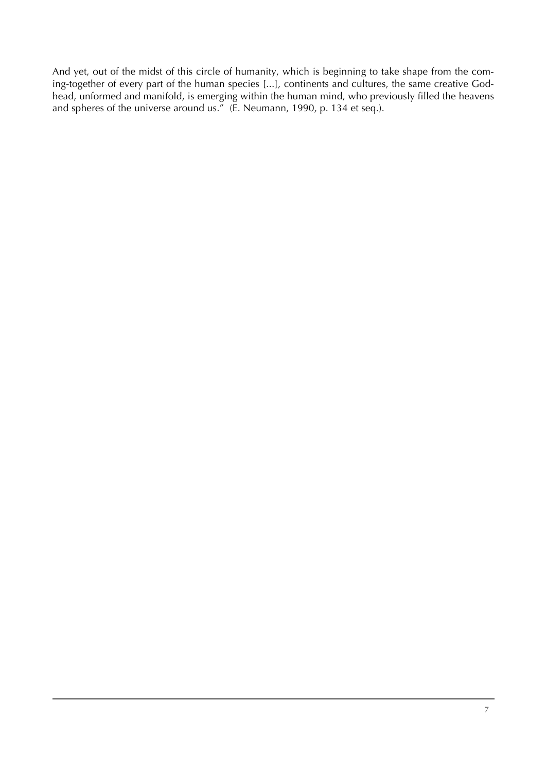And yet, out of the midst of this circle of humanity, which is beginning to take shape from the coming-together of every part of the human species [...], continents and cultures, the same creative Godhead, unformed and manifold, is emerging within the human mind, who previously filled the heavens and spheres of the universe around us." (E. Neumann, 1990, p. 134 et seq.).